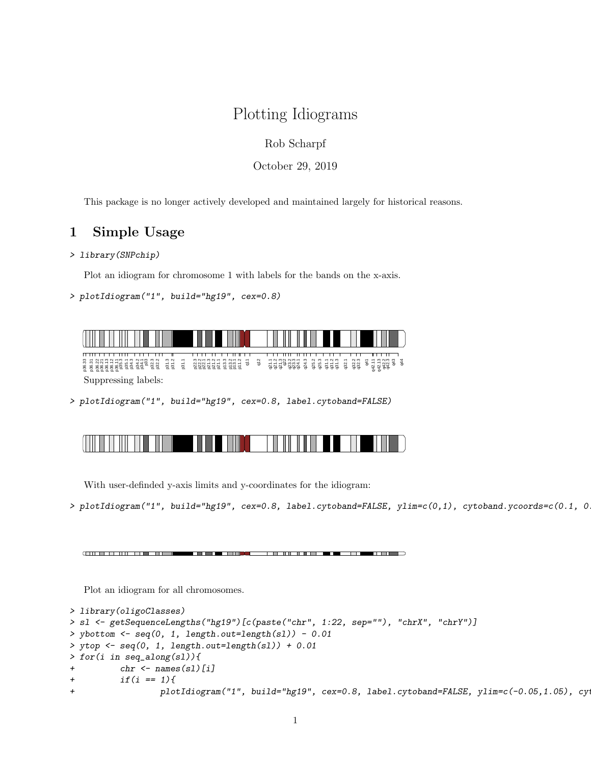## Plotting Idiograms

Rob Scharpf

October 29, 2019

This package is no longer actively developed and maintained largely for historical reasons.

## 1 Simple Usage

## > library(SNPchip)

Plot an idiogram for chromosome 1 with labels for the bands on the x-axis.

```
> plotIdiogram("1", build="hg19", cex=0.8)
```


> plotIdiogram("1", build="hg19", cex=0.8, label.cytoband=FALSE)

With user-definded y-axis limits and y-coordinates for the idiogram:

> plotIdiogram("1", build="hg19", cex=0.8, label.cytoband=FALSE, ylim=c(0,1), cytoband.ycoords=c(0.1, 0.3))

(ENFERTHERN EINER STER EIN) (CONTRACTORE 1 CARD 1151 C

Plot an idiogram for all chromosomes.

```
> library(oligoClasses)
> sl <- getSequenceLengths("hg19")[c(paste("chr", 1:22, sep=""), "chrX", "chrY")]
> ybottom \leq seq(0, 1, length.out=length(sl)) - 0.01
> ytop <- seq(0, 1, length.out=length(sl)) + 0.01
> for(i in seq_along(sl)){
+ chr <- names(sl)[i]
+ if(i == 1){
+ plotIdiogram("1", build="hg19", cex=0.8, label.cytoband=FALSE, ylim=c(-0.05,1.05), cy
```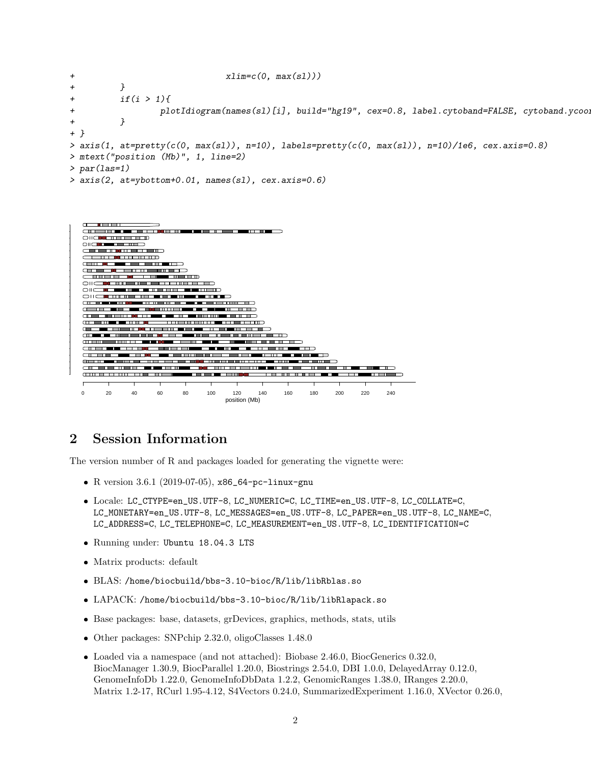```
+ xlim=c(0, max(s1)))+ }
+ if(i > 1){
+ plotIdiogram(names(sl)[i], build="hg19", cex=0.8, label.cytoband=FALSE, cytoband.ycoords=c(x)
+ }
+ }
> axis(1, at=pretty(c(0, max(sl)), n=10), labels=pretty(c(0, max(sl)), n=10)/1e6, cex.axis=0.8)
> mtext("position (Mb)", 1, line=2)
> par(las=1)
> axis(2, at=ybottom+0.01, names(sl), cex.axis=0.6)
```


## 2 Session Information

The version number of R and packages loaded for generating the vignette were:

- R version 3.6.1 (2019-07-05), x86\_64-pc-linux-gnu
- Locale: LC\_CTYPE=en\_US.UTF-8, LC\_NUMERIC=C, LC\_TIME=en\_US.UTF-8, LC\_COLLATE=C, LC\_MONETARY=en\_US.UTF-8, LC\_MESSAGES=en\_US.UTF-8, LC\_PAPER=en\_US.UTF-8, LC\_NAME=C, LC\_ADDRESS=C, LC\_TELEPHONE=C, LC\_MEASUREMENT=en\_US.UTF-8, LC\_IDENTIFICATION=C
- Running under: Ubuntu 18.04.3 LTS
- Matrix products: default
- BLAS: /home/biocbuild/bbs-3.10-bioc/R/lib/libRblas.so
- LAPACK: /home/biocbuild/bbs-3.10-bioc/R/lib/libRlapack.so
- Base packages: base, datasets, grDevices, graphics, methods, stats, utils
- Other packages: SNPchip 2.32.0, oligoClasses 1.48.0
- Loaded via a namespace (and not attached): Biobase 2.46.0, BiocGenerics 0.32.0, BiocManager 1.30.9, BiocParallel 1.20.0, Biostrings 2.54.0, DBI 1.0.0, DelayedArray 0.12.0, GenomeInfoDb 1.22.0, GenomeInfoDbData 1.2.2, GenomicRanges 1.38.0, IRanges 2.20.0, Matrix 1.2-17, RCurl 1.95-4.12, S4Vectors 0.24.0, SummarizedExperiment 1.16.0, XVector 0.26.0,